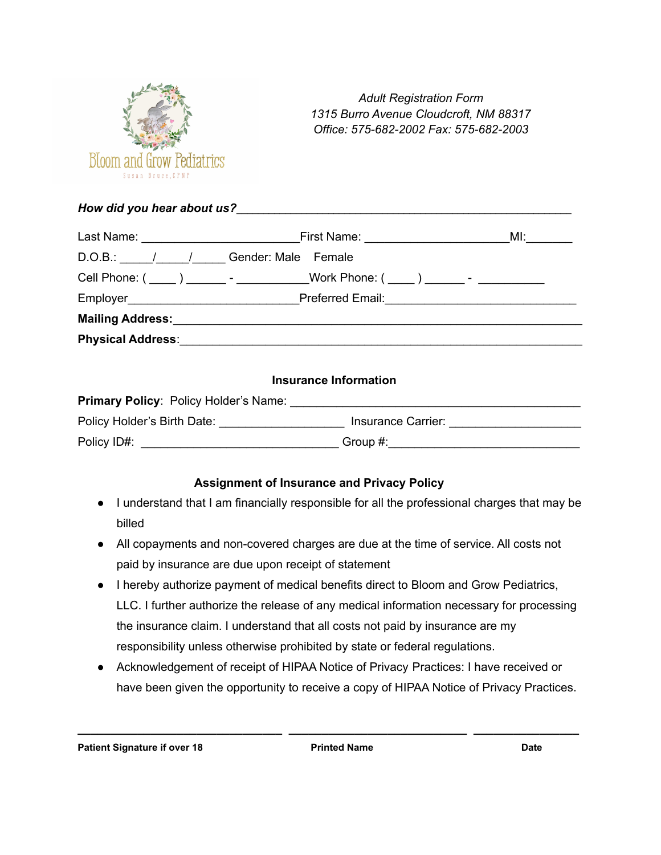

*Adult Registration Form 1315 Burro Avenue Cloudcroft, NM 88317 Office: 575-682-2002 Fax: 575-682-2003*

*How did you hear about us?*\_\_\_\_\_\_\_\_\_\_\_\_\_\_\_\_\_\_\_\_\_\_\_\_\_\_\_\_\_\_\_\_\_\_\_\_\_\_\_\_\_\_\_\_\_\_\_\_\_\_\_\_\_\_\_\_\_\_\_\_\_\_

|                                                      |                                                                                  | MI: ___________                                 |
|------------------------------------------------------|----------------------------------------------------------------------------------|-------------------------------------------------|
| D.O.B.: \_______/_______/________Gender: Male Female |                                                                                  |                                                 |
|                                                      | Cell Phone: ( ____ ) _______ - ___________Work Phone: ( ____ ) ______ - ________ |                                                 |
|                                                      |                                                                                  | Preferred Email: <u>[1994]</u> Preferred Email: |
|                                                      | Mailing Address: Mailing Address:                                                |                                                 |
|                                                      | <b>Physical Address: Example 2018</b>                                            |                                                 |

## **Insurance Information**

| <b>Primary Policy: Policy Holder's Name:</b> |                    |
|----------------------------------------------|--------------------|
| Policy Holder's Birth Date:                  | Insurance Carrier: |
| Policy ID#:                                  | Group #:           |

## **Assignment of Insurance and Privacy Policy**

- I understand that I am financially responsible for all the professional charges that may be billed
- All copayments and non-covered charges are due at the time of service. All costs not paid by insurance are due upon receipt of statement
- I hereby authorize payment of medical benefits direct to Bloom and Grow Pediatrics, LLC. I further authorize the release of any medical information necessary for processing the insurance claim. I understand that all costs not paid by insurance are my responsibility unless otherwise prohibited by state or federal regulations.
- Acknowledgement of receipt of HIPAA Notice of Privacy Practices: I have received or have been given the opportunity to receive a copy of HIPAA Notice of Privacy Practices.

**\_\_\_\_\_\_\_\_\_\_\_\_\_\_\_\_\_\_\_\_\_\_\_\_\_\_\_\_\_\_\_ \_\_\_\_\_\_\_\_\_\_\_\_\_\_\_\_\_\_\_\_\_\_\_\_\_\_\_ \_\_\_\_\_\_\_\_\_\_\_\_\_\_\_\_**